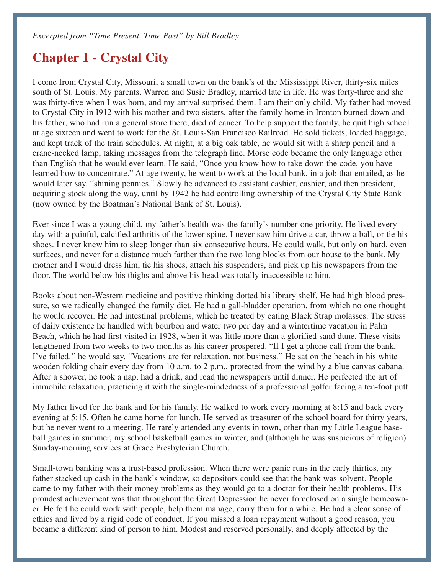## **Chapter 1 - Crystal City**

I come from Crystal City, Missouri, a small town on the bank's of the Mississippi River, thirty-six miles south of St. Louis. My parents, Warren and Susie Bradley, married late in life. He was forty-three and she was thirty-five when I was born, and my arrival surprised them. I am their only child. My father had moved to Crystal City in I912 with his mother and two sisters, after the family home in Ironton burned down and his father, who had run a general store there, died of cancer. To help support the family, he quit high school at age sixteen and went to work for the St. Louis-San Francisco Railroad. He sold tickets, loaded baggage, and kept track of the train schedules. At night, at a big oak table, he would sit with a sharp pencil and a crane-necked lamp, taking messages from the telegraph line. Morse code became the only language other than English that he would ever learn. He said, "Once you know how to take down the code, you have learned how to concentrate." At age twenty, he went to work at the local bank, in a job that entailed, as he would later say, "shining pennies." Slowly he advanced to assistant cashier, cashier, and then president, acquiring stock along the way, until by 1942 he had controlling ownership of the Crystal City State Bank (now owned by the Boatman's National Bank of St. Louis).

Ever since I was a young child, my father's health was the family's number-one priority. He lived every day with a painful, calcified arthritis of the lower spine. I never saw him drive a car, throw a ball, or tie his shoes. I never knew him to sleep longer than six consecutive hours. He could walk, but only on hard, even surfaces, and never for a distance much farther than the two long blocks from our house to the bank. My mother and I would dress him, tie his shoes, attach his suspenders, and pick up his newspapers from the floor. The world below his thighs and above his head was totally inaccessible to him.

Books about non-Western medicine and positive thinking dotted his library shelf. He had high blood pressure, so we radically changed the family diet. He had a gall-bladder operation, from which no one thought he would recover. He had intestinal problems, which he treated by eating Black Strap molasses. The stress of daily existence he handled with bourbon and water two per day and a wintertime vacation in Palm Beach, which he had first visited in 1928, when it was little more than a glorified sand dune. These visits lengthened from two weeks to two months as his career prospered. "If I get a phone call from the bank, I've failed.'' he would say. "Vacations are for relaxation, not business.'' He sat on the beach in his white wooden folding chair every day from 10 a.m. to 2 p.m., protected from the wind by a blue canvas cabana. After a shower, he took a nap, had a drink, and read the newspapers until dinner. He perfected the art of immobile relaxation, practicing it with the single-mindedness of a professional golfer facing a ten-foot putt.

My father lived for the bank and for his family. He walked to work every morning at 8:15 and back every evening at 5:15. Often he came home for lunch. He served as treasurer of the school board for thirty years, but he never went to a meeting. He rarely attended any events in town, other than my Little League baseball games in summer, my school basketball games in winter, and (although he was suspicious of religion) Sunday-morning services at Grace Presbyterian Church.

Small-town banking was a trust-based profession. When there were panic runs in the early thirties, my father stacked up cash in the bank's window, so depositors could see that the bank was solvent. People came to my father with their money problems as they would go to a doctor for their health problems. His proudest achievement was that throughout the Great Depression he never foreclosed on a single homeowner. He felt he could work with people, help them manage, carry them for a while. He had a clear sense of ethics and lived by a rigid code of conduct. If you missed a loan repayment without a good reason, you became a different kind of person to him. Modest and reserved personally, and deeply affected by the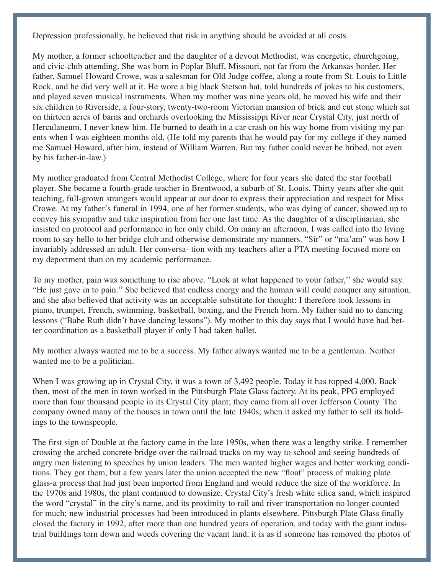Depression professionally, he believed that risk in anything should be avoided at all costs.

My mother, a former schoolteacher and the daughter of a devout Methodist, was energetic, churchgoing, and civic-club attending. She was born in Poplar Bluff, Missouri, not far from the Arkansas border. Her father, Samuel Howard Crowe, was a salesman for Old Judge coffee, along a route from St. Louis to Little Rock, and he did very well at it. He wore a big black Stetson hat, told hundreds of jokes to his customers, and played seven musical instruments. When my mother was nine years old, he moved his wife and their six children to Riverside, a four-story, twenty-two-room Victorian mansion of brick and cut stone which sat on thirteen acres of barns and orchards overlooking the Mississippi River near Crystal City, just north of Herculaneum. I never knew him. He burned to death in a car crash on his way home from visiting my parents when I was eighteen months old. (He told my parents that he would pay for my college if they named me Samuel Howard, after him, instead of William Warren. But my father could never be bribed, not even by his father-in-law.)

My mother graduated from Central Methodist College, where for four years she dated the star football player. She became a fourth-grade teacher in Brentwood, a suburb of St. Louis. Thirty years after she quit teaching, full-grown strangers would appear at our door to express their appreciation and respect for Miss Crowe. At my father's funeral in 1994, one of her former students, who was dying of cancer, showed up to convey his sympathy and take inspiration from her one last time. As the daughter of a disciplinarian, she insisted on protocol and performance in her only child. On many an afternoon, I was called into the living room to say hello to her bridge club and otherwise demonstrate my manners. "Sir" or "ma'am" was how I invariably addressed an adult. Her conversa- tion with my teachers after a PTA meeting focused more on my deportment than on my academic performance.

To my mother, pain was something to rise above. "Look at what happened to your father,'' she would say. "He just gave in to pain.'' She believed that endless energy and the human will could conquer any situation, and she also believed that activity was an acceptable substitute for thought: I therefore took lessons in piano, trumpet, French, swimming, basketball, boxing, and the French horn. My father said no to dancing lessons ("Babe Ruth didn't have dancing lessons"). My mother to this day says that I would have had better coordination as a basketball player if only I had taken ballet.

My mother always wanted me to be a success. My father always wanted me to be a gentleman. Neither wanted me to be a politician.

When I was growing up in Crystal City, it was a town of 3,492 people. Today it has topped 4,000. Back then, most of the men in town worked in the Pittsburgh Plate Glass factory. At its peak, PPG employed more than four thousand people in its Crystal City plant; they came from all over Jefferson County. The company owned many of the houses in town until the late 1940s, when it asked my father to sell its holdings to the townspeople.

The first sign of Double at the factory came in the late 1950s, when there was a lengthy strike. I remember crossing the arched concrete bridge over the railroad tracks on my way to school and seeing hundreds of angry men listening to speeches by union leaders. The men wanted higher wages and better working conditions. They got them, but a few years later the union accepted the new "float" process of making plate glass-a process that had just been imported from England and would reduce the size of the workforce. In the 1970s and 1980s, the plant continued to downsize. Crystal City's fresh white silica sand, which inspired the word "crystal" in the city's name, and its proximity to rail and river transportation no longer counted for much; new industrial processes had been introduced in plants elsewhere. Pittsburgh Plate Glass finally closed the factory in 1992, after more than one hundred years of operation, and today with the giant industrial buildings torn down and weeds covering the vacant land, it is as if someone has removed the photos of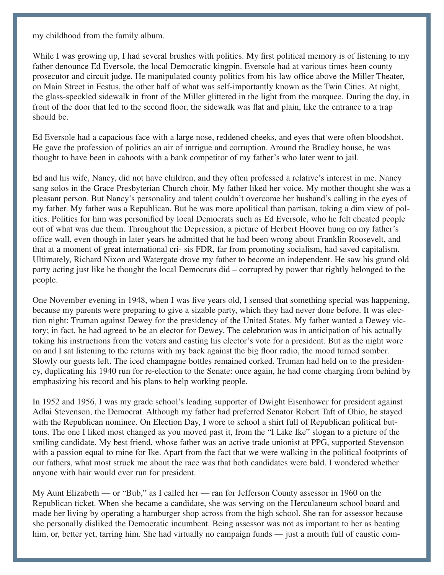my childhood from the family album.

While I was growing up, I had several brushes with politics. My first political memory is of listening to my father denounce Ed Eversole, the local Democratic kingpin. Eversole had at various times been county prosecutor and circuit judge. He manipulated county politics from his law office above the Miller Theater, on Main Street in Festus, the other half of what was self-importantly known as the Twin Cities. At night, the glass-speckled sidewalk in front of the Miller glittered in the light from the marquee. During the day, in front of the door that led to the second floor, the sidewalk was flat and plain, like the entrance to a trap should be.

Ed Eversole had a capacious face with a large nose, reddened cheeks, and eyes that were often bloodshot. He gave the profession of politics an air of intrigue and corruption. Around the Bradley house, he was thought to have been in cahoots with a bank competitor of my father's who later went to jail.

Ed and his wife, Nancy, did not have children, and they often professed a relative's interest in me. Nancy sang solos in the Grace Presbyterian Church choir. My father liked her voice. My mother thought she was a pleasant person. But Nancy's personality and talent couldn't overcome her husband's calling in the eyes of my father. My father was a Republican. But he was more apolitical than partisan, toking a dim view of politics. Politics for him was personified by local Democrats such as Ed Eversole, who he felt cheated people out of what was due them. Throughout the Depression, a picture of Herbert Hoover hung on my father's office wall, even though in later years he admitted that he had been wrong about Franklin Roosevelt, and that at a moment of great international cri- sis FDR, far from promoting socialism, had saved capitalism. Ultimately, Richard Nixon and Watergate drove my father to become an independent. He saw his grand old party acting just like he thought the local Democrats did – corrupted by power that rightly belonged to the people.

One November evening in 1948, when I was five years old, I sensed that something special was happening, because my parents were preparing to give a sizable party, which they had never done before. It was election night: Truman against Dewey for the presidency of the United States. My father wanted a Dewey victory; in fact, he had agreed to be an elector for Dewey. The celebration was in anticipation of his actually toking his instructions from the voters and casting his elector's vote for a president. But as the night wore on and I sat listening to the returns with my back against the big floor radio, the mood turned somber. Slowly our guests left. The iced champagne bottles remained corked. Truman had held on to the presidency, duplicating his 1940 run for re-election to the Senate: once again, he had come charging from behind by emphasizing his record and his plans to help working people.

In 1952 and 1956, I was my grade school's leading supporter of Dwight Eisenhower for president against Adlai Stevenson, the Democrat. Although my father had preferred Senator Robert Taft of Ohio, he stayed with the Republican nominee. On Election Day, I wore to school a shirt full of Republican political buttons. The one I liked most changed as you moved past it, from the "I Like Ike" slogan to a picture of the smiling candidate. My best friend, whose father was an active trade unionist at PPG, supported Stevenson with a passion equal to mine for Ike. Apart from the fact that we were walking in the political footprints of our fathers, what most struck me about the race was that both candidates were bald. I wondered whether anyone with hair would ever run for president.

My Aunt Elizabeth — or "Bub," as I called her — ran for Jefferson County assessor in 1960 on the Republican ticket. When she became a candidate, she was serving on the Herculaneum school board and made her living by operating a hamburger shop across from the high school. She ran for assessor because she personally disliked the Democratic incumbent. Being assessor was not as important to her as beating him, or, better yet, tarring him. She had virtually no campaign funds — just a mouth full of caustic com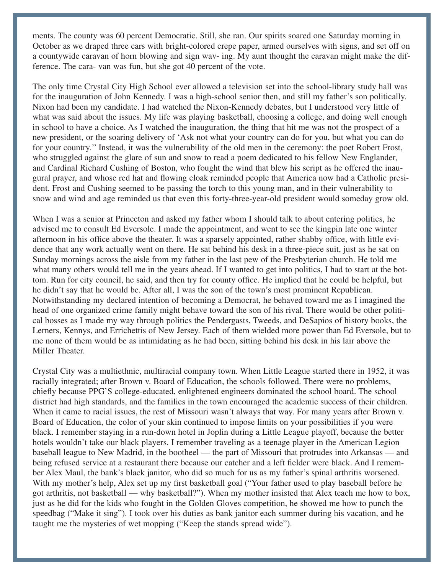ments. The county was 60 percent Democratic. Still, she ran. Our spirits soared one Saturday morning in October as we draped three cars with bright-colored crepe paper, armed ourselves with signs, and set off on a countywide caravan of horn blowing and sign wav- ing. My aunt thought the caravan might make the difference. The cara- van was fun, but she got 40 percent of the vote.

The only time Crystal City High School ever allowed a television set into the school-library study hall was for the inauguration of John Kennedy. I was a high-school senior then, and still my father's son politically. Nixon had been my candidate. I had watched the Nixon-Kennedy debates, but I understood very little of what was said about the issues. My life was playing basketball, choosing a college, and doing well enough in school to have a choice. As I watched the inauguration, the thing that hit me was not the prospect of a new president, or the soaring delivery of 'Ask not what your country can do for you, but what you can do for your country.'' Instead, it was the vulnerability of the old men in the ceremony: the poet Robert Frost, who struggled against the glare of sun and snow to read a poem dedicated to his fellow New Englander, and Cardinal Richard Cushing of Boston, who fought the wind that blew his script as he offered the inaugural prayer, and whose red hat and flowing cloak reminded people that America now had a Catholic president. Frost and Cushing seemed to be passing the torch to this young man, and in their vulnerability to snow and wind and age reminded us that even this forty-three-year-old president would someday grow old.

When I was a senior at Princeton and asked my father whom I should talk to about entering politics, he advised me to consult Ed Eversole. I made the appointment, and went to see the kingpin late one winter afternoon in his office above the theater. It was a sparsely appointed, rather shabby office, with little evidence that any work actually went on there. He sat behind his desk in a three-piece suit, just as he sat on Sunday mornings across the aisle from my father in the last pew of the Presbyterian church. He told me what many others would tell me in the years ahead. If I wanted to get into politics, I had to start at the bottom. Run for city council, he said, and then try for county office. He implied that he could be helpful, but he didn't say that he would be. After all, I was the son of the town's most prominent Republican. Notwithstanding my declared intention of becoming a Democrat, he behaved toward me as I imagined the head of one organized crime family might behave toward the son of his rival. There would be other political bosses as I made my way through politics the Pendergasts, Tweeds, and DeSapios of history books, the Lerners, Kennys, and Errichettis of New Jersey. Each of them wielded more power than Ed Eversole, but to me none of them would be as intimidating as he had been, sitting behind his desk in his lair above the Miller Theater.

Crystal City was a multiethnic, multiracial company town. When Little League started there in 1952, it was racially integrated; after Brown v. Board of Education, the schools followed. There were no problems, chiefly because PPG'S college-educated, enlightened engineers dominated the school board. The school district had high standards, and the families in the town encouraged the academic success of their children. When it came to racial issues, the rest of Missouri wasn't always that way. For many years after Brown v. Board of Education, the color of your skin continued to impose limits on your possibilities if you were black. I remember staying in a run-down hotel in Joplin during a Little League playoff, because the better hotels wouldn't take our black players. I remember traveling as a teenage player in the American Legion baseball league to New Madrid, in the bootheel — the part of Missouri that protrudes into Arkansas — and being refused service at a restaurant there because our catcher and a left fielder were black. And I remember Alex Maul, the bank's black janitor, who did so much for us as my father's spinal arthritis worsened. With my mother's help, Alex set up my first basketball goal ("Your father used to play baseball before he got arthritis, not basketball — why basketball?"). When my mother insisted that Alex teach me how to box, just as he did for the kids who fought in the Golden Gloves competition, he showed me how to punch the speedbag ("Make it sing"). I took over his duties as bank janitor each summer during his vacation, and he taught me the mysteries of wet mopping ("Keep the stands spread wide").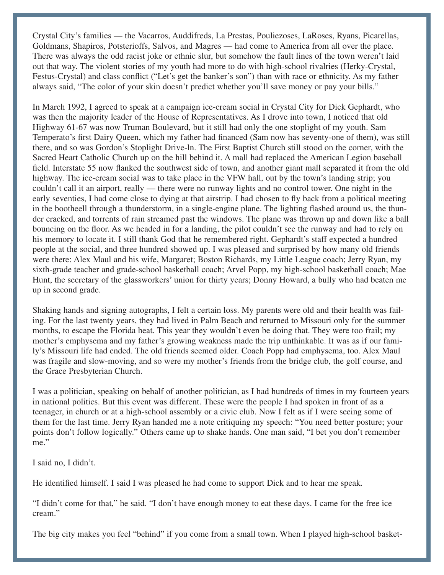Crystal City's families — the Vacarros, Auddifreds, La Prestas, Pouliezoses, LaRoses, Ryans, Picarellas, Goldmans, Shapiros, Potsterioffs, Salvos, and Magres — had come to America from all over the place. There was always the odd racist joke or ethnic slur, but somehow the fault lines of the town weren't laid out that way. The violent stories of my youth had more to do with high-school rivalries (Herky-Crystal, Festus-Crystal) and class conflict ("Let's get the banker's son") than with race or ethnicity. As my father always said, "The color of your skin doesn't predict whether you'll save money or pay your bills."

In March 1992, I agreed to speak at a campaign ice-cream social in Crystal City for Dick Gephardt, who was then the majority leader of the House of Representatives. As I drove into town, I noticed that old Highway 61-67 was now Truman Boulevard, but it still had only the one stoplight of my youth. Sam Temperato's first Dairy Queen, which my father had financed (Sam now has seventy-one of them), was still there, and so was Gordon's Stoplight Drive-ln. The First Baptist Church still stood on the corner, with the Sacred Heart Catholic Church up on the hill behind it. A mall had replaced the American Legion baseball field. Interstate 55 now flanked the southwest side of town, and another giant mall separated it from the old highway. The ice-cream social was to take place in the VFW hall, out by the town's landing strip; you couldn't call it an airport, really — there were no runway lights and no control tower. One night in the early seventies, I had come close to dying at that airstrip. I had chosen to fly back from a political meeting in the bootheell through a thunderstorm, in a single-engine plane. The lighting flashed around us, the thunder cracked, and torrents of rain streamed past the windows. The plane was thrown up and down like a ball bouncing on the floor. As we headed in for a landing, the pilot couldn't see the runway and had to rely on his memory to locate it. I still thank God that he remembered right. Gephardt's staff expected a hundred people at the social, and three hundred showed up. I was pleased and surprised by how many old friends were there: Alex Maul and his wife, Margaret; Boston Richards, my Little League coach; Jerry Ryan, my sixth-grade teacher and grade-school basketball coach; Arvel Popp, my high-school basketball coach; Mae Hunt, the secretary of the glassworkers' union for thirty years; Donny Howard, a bully who had beaten me up in second grade.

Shaking hands and signing autographs, I felt a certain loss. My parents were old and their health was failing. For the last twenty years, they had lived in Palm Beach and returned to Missouri only for the summer months, to escape the Florida heat. This year they wouldn't even be doing that. They were too frail; my mother's emphysema and my father's growing weakness made the trip unthinkable. It was as if our family's Missouri life had ended. The old friends seemed older. Coach Popp had emphysema, too. Alex Maul was fragile and slow-moving, and so were my mother's friends from the bridge club, the golf course, and the Grace Presbyterian Church.

I was a politician, speaking on behalf of another politician, as I had hundreds of times in my fourteen years in national politics. But this event was different. These were the people I had spoken in front of as a teenager, in church or at a high-school assembly or a civic club. Now I felt as if I were seeing some of them for the last time. Jerry Ryan handed me a note critiquing my speech: "You need better posture; your points don't follow logically." Others came up to shake hands. One man said, "I bet you don't remember me."

I said no, I didn't.

He identified himself. I said I was pleased he had come to support Dick and to hear me speak.

"I didn't come for that," he said. "I don't have enough money to eat these days. I came for the free ice cream."

The big city makes you feel "behind" if you come from a small town. When I played high-school basket-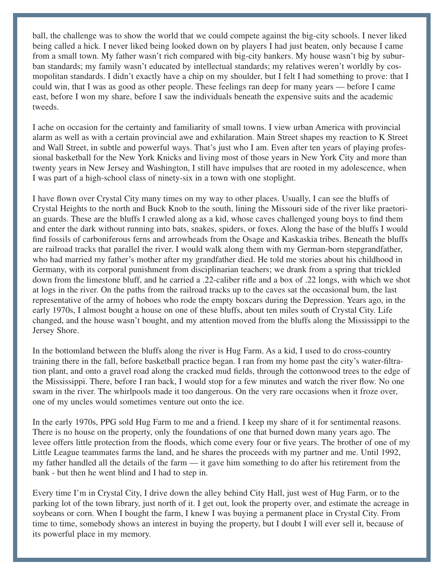ball, the challenge was to show the world that we could compete against the big-city schools. I never liked being called a hick. I never liked being looked down on by players I had just beaten, only because I came from a small town. My father wasn't rich compared with big-city bankers. My house wasn't big by suburban standards; my family wasn't educated by intellectual standards; my relatives weren't worldly by cosmopolitan standards. I didn't exactly have a chip on my shoulder, but I felt I had something to prove: that I could win, that I was as good as other people. These feelings ran deep for many years — before I came east, before I won my share, before I saw the individuals beneath the expensive suits and the academic tweeds.

I ache on occasion for the certainty and familiarity of small towns. I view urban America with provincial alarm as well as with a certain provincial awe and exhilaration. Main Street shapes my reaction to K Street and Wall Street, in subtle and powerful ways. That's just who I am. Even after ten years of playing professional basketball for the New York Knicks and living most of those years in New York City and more than twenty years in New Jersey and Washington, I still have impulses that are rooted in my adolescence, when I was part of a high-school class of ninety-six in a town with one stoplight.

I have flown over Crystal City many times on my way to other places. Usually, I can see the bluffs of Crystal Heights to the north and Buck Knob to the south, lining the Missouri side of the river like praetorian guards. These are the bluffs I crawled along as a kid, whose caves challenged young boys to find them and enter the dark without running into bats, snakes, spiders, or foxes. Along the base of the bluffs I would find fossils of carboniferous ferns and arrowheads from the Osage and Kaskaskia tribes. Beneath the bluffs are railroad tracks that parallel the river. I would walk along them with my German-born stepgrandfather, who had married my father's mother after my grandfather died. He told me stories about his childhood in Germany, with its corporal punishment from disciplinarian teachers; we drank from a spring that trickled down from the limestone bluff, and he carried a .22-caliber rifle and a box of .22 longs, with which we shot at logs in the river. On the paths from the railroad tracks up to the caves sat the occasional bum, the last representative of the army of hoboes who rode the empty boxcars during the Depression. Years ago, in the early 1970s, I almost bought a house on one of these bluffs, about ten miles south of Crystal City. Life changed, and the house wasn't bought, and my attention moved from the bluffs along the Mississippi to the Jersey Shore.

In the bottomland between the bluffs along the river is Hug Farm. As a kid, I used to do cross-country training there in the fall, before basketball practice began. I ran from my home past the city's water-filtration plant, and onto a gravel road along the cracked mud fields, through the cottonwood trees to the edge of the Mississippi. There, before I ran back, I would stop for a few minutes and watch the river flow. No one swam in the river. The whirlpools made it too dangerous. On the very rare occasions when it froze over, one of my uncles would sometimes venture out onto the ice.

In the early 1970s, PPG sold Hug Farm to me and a friend. I keep my share of it for sentimental reasons. There is no house on the property, only the foundations of one that burned down many years ago. The levee offers little protection from the floods, which come every four or five years. The brother of one of my Little League teammates farms the land, and he shares the proceeds with my partner and me. Until 1992, my father handled all the details of the farm — it gave him something to do after his retirement from the bank - but then he went blind and I had to step in.

Every time I'm in Crystal City, I drive down the alley behind City Hall, just west of Hug Farm, or to the parking lot of the town library, just north of it. I get out, look the property over, and estimate the acreage in soybeans or corn. When I bought the farm, I knew I was buying a permanent place in Crystal City. From time to time, somebody shows an interest in buying the property, but I doubt I will ever sell it, because of its powerful place in my memory.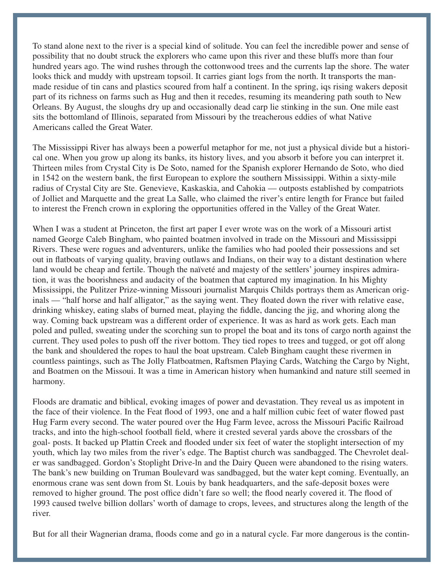To stand alone next to the river is a special kind of solitude. You can feel the incredible power and sense of possibility that no doubt struck the explorers who came upon this river and these bluffs more than four hundred years ago. The wind rushes through the cottonwood trees and the currents lap the shore. The water looks thick and muddy with upstream topsoil. It carries giant logs from the north. It transports the manmade residue of tin cans and plastics scoured from half a continent. In the spring, iqs rising wakers deposit part of its richness on farms such as Hug and then it recedes, resuming its meandering path south to New Orleans. By August, the sloughs dry up and occasionally dead carp lie stinking in the sun. One mile east sits the bottomland of Illinois, separated from Missouri by the treacherous eddies of what Native Americans called the Great Water.

The Mississippi River has always been a powerful metaphor for me, not just a physical divide but a historical one. When you grow up along its banks, its history lives, and you absorb it before you can interpret it. Thirteen miles from Crystal City is De Soto, named for the Spanish explorer Hernando de Soto, who died in 1542 on the western bank, the first European to explore the southern Mississippi. Within a sixty-mile radius of Crystal City are Ste. Genevieve, Kaskaskia, and Cahokia — outposts established by compatriots of Jolliet and Marquette and the great La Salle, who claimed the river's entire length for France but failed to interest the French crown in exploring the opportunities offered in the Valley of the Great Water.

When I was a student at Princeton, the first art paper I ever wrote was on the work of a Missouri artist named George Caleb Bingham, who painted boatmen involved in trade on the Missouri and Mississippi Rivers. These were rogues and adventurers, unlike the families who had pooled their possessions and set out in flatboats of varying quality, braving outlaws and Indians, on their way to a distant destination where land would be cheap and fertile. Though the naïveté and majesty of the settlers' journey inspires admiration, it was the boorishness and audacity of the boatmen that captured my imagination. In his Mighty Mississippi, the Pulitzer Prize-winning Missouri journalist Marquis Childs portrays them as American originals — "half horse and half alligator," as the saying went. They floated down the river with relative ease, drinking whiskey, eating slabs of burned meat, playing the fiddle, dancing the jig, and whoring along the way. Coming back upstream was a different order of experience. It was as hard as work gets. Each man poled and pulled, sweating under the scorching sun to propel the boat and its tons of cargo north against the current. They used poles to push off the river bottom. They tied ropes to trees and tugged, or got off along the bank and shouldered the ropes to haul the boat upstream. Caleb Bingham caught these rivermen in countless paintings, such as The Jolly Flatboatmen, Raftsmen Playing Cards, Watching the Cargo by Night, and Boatmen on the Missoui. It was a time in American history when humankind and nature still seemed in harmony.

Floods are dramatic and biblical, evoking images of power and devastation. They reveal us as impotent in the face of their violence. In the Feat flood of 1993, one and a half million cubic feet of water flowed past Hug Farm every second. The water poured over the Hug Farm levee, across the Missouri Pacific Railroad tracks, and into the high-school football field, where it crested several yards above the crossbars of the goal- posts. It backed up Plattin Creek and flooded under six feet of water the stoplight intersection of my youth, which lay two miles from the river's edge. The Baptist church was sandbagged. The Chevrolet dealer was sandbagged. Gordon's Stoplight Drive-ln and the Dairy Queen were abandoned to the rising waters. The bank's new building on Truman Boulevard was sandbagged, but the water kept coming. Eventually, an enormous crane was sent down from St. Louis by bank headquarters, and the safe-deposit boxes were removed to higher ground. The post office didn't fare so well; the flood nearly covered it. The flood of 1993 caused twelve billion dollars' worth of damage to crops, levees, and structures along the length of the river.

But for all their Wagnerian drama, floods come and go in a natural cycle. Far more dangerous is the contin-